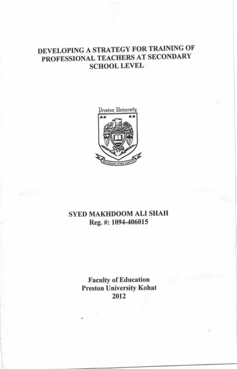# DEVELOPING A STRATEGY FOR TRAINING OF PROFESSIONAL TEACHERS AT SECONDARY SCHOOL LEVEL



## SYED MAKIIDOOM ALI SHAH Reg. #: 1094-406015

Faculty of Education Preston University Kohat 2012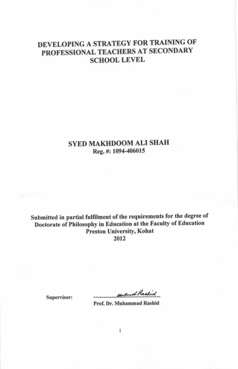# DEVELOPING A STRATEGY FOR TRAINING OF PROFESSIONAL TEACHERS AT SECONDARY **SCHOOL LEVEL**

## SYED MAKHDOOM ALI SHAH Reg. #: 1094-406015

Submitted in partial fulfilment of the requirements for the degree of Doctorate of Philosophy in Education at the Faculty of Education **Preston University, Kohat** 2012

surfand Rashid

Prof. Dr. Muhammad Rashid

Supervisor:

 $\mathbf{i}$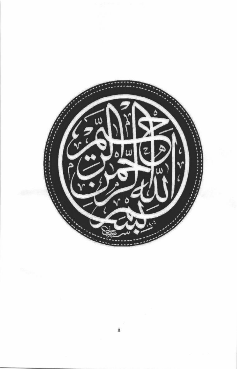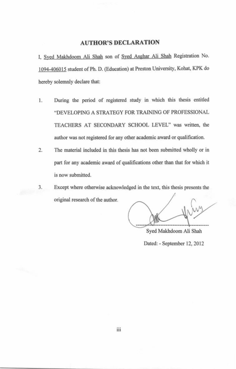## **AUTHOR'S DECLARATION**

I, Syed Makhdoom Ali Shah son of Syed Asghar Ali Shah Registration No. 1094-406015 student of Ph. D. (Education) at Preston University, Kohat, KPK do hereby solemnly declare that:

- 1. During the period of registered study in which this thesis entitled "DEVELOPING A STRATEGY FOR TRAINING OF PROFESSIONAL TEACHERS AT SECONDARY SCHOOL LEVEL" was written, the author was not registered for any other academic award or qualification.
- The material included in this thesis has not been submitted wholly or in  $2.$ part for any academic award of qualifications other than that for which it is now submitted.
- Except where otherwise acknowledged in the text, this thesis presents the 3. original research of the author.

Syed Makhdoom Ali Shah Dated: - September 12, 2012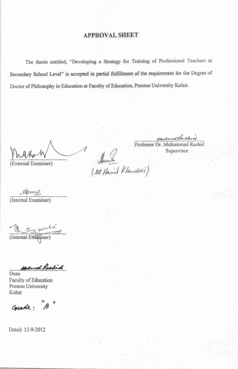## **APPROVAL SHEET**

The thesis entitled, "Developing a Strategy for Training of Professional Teachers at Secondary School Level" is accepted in partial fulfillment of the requirement for the Degree of Doctor of Philosophy in Education at Faculty of Education, Preston University Kohat.

(External Examiner)

uned Rashid

Professor Dr. Muhammad Rashid Supervisor

Ascardon<br>(DR Hamid Khandinei)

damie (Internal Examiner)

(Internal Examiner)

Had and Rashid

Dean Faculty of Education Preston University Kohat

Grade: "B"

Dated: 12-9-2012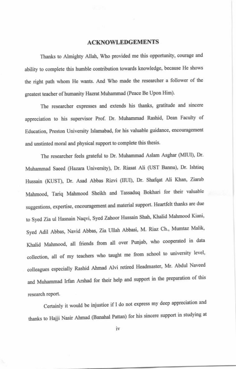#### **ACKNOWLEDGEMENTS**

Thanks to Almighty Allah, Who provided me this opportunity, courage and ability to complete this humble contribution towards knowledge, because He shows the right path whom He wants. And Who made the researcher a follower of the greatest teacher of humanity Hazrat Muhammad (Peace Be Upon Him).

The researcher expresses and extends his thanks, gratitude and sincere appreciation to his supervisor Prof. Dr. Muhammad Rashid, Dean Faculty of Education, Preston University Islamabad, for his valuable guidance, encouragement and unstinted moral and physical support to complete this thesis.

The researcher feels grateful to Dr. Muhammad Aslam Asghar (MIUI), Dr. Muhammad Saeed (Hazara University), Dr. Riasat Ali (UST Bannu), Dr. Ishtiaq Hussain (KUST), Dr. Asad Abbas Rizvi (IIUI), Dr. Shafqat Ali Khan, Ziarab Mahmood, Tariq Mahmood Sheikh and Tassaduq Bokhari for their valuable suggestions, expertise, encouragement and material support. Heartfelt thanks are due to Syed Zia ul Hasnain Naqvi, Syed Zahoor Hussain Shah, Khalid Mahmood Kiani, Syed Adil Abbas, Navid Abbas, Zia Ullah Abbasi, M. Riaz Ch., Mumtaz Malik, Khalid Mahmood, all friends from all over Punjab, who cooperated in data collection, all of my teachers who taught me from school to university level, colleagues especially Rashid Ahmad Alvi retired Headmaster, Mr. Abdul Naveed and Muhammad Irfan Arshad for their help and support in the preparation of this research report.

Certainly it would be injustice if I do not express my deep appreciation and thanks to Hajji Nasir Ahmad (Banahal Pattan) for his sincere support in studying at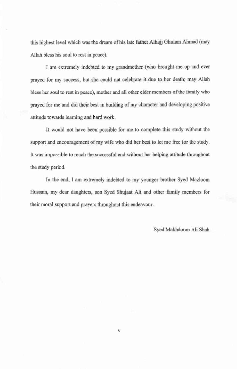this highest level which was the dream of his late father Alhajj Ghulam Ahmad (may Allah bless his soul to rest in peace).

I am extremely indebted to my grandmother (who brought me up and ever prayed for my success, but she could not celebrate it due to her death; may Allah bless her soul to rest in peace), mother and all other elder members of the family who prayed for me and did their best in building of my character and developing positive attitude towards learning and hard work.

It would not have been possible for me to complete this study without the support and encouragement of my wife who did her best to let me free for the study. It was impossible to reach the successful end without her helping attitude throughout the study period.

In the end, I am extremely indebted to my younger brother Syed Mazloom Hussain, my dear daughters, son Syed Shujaat Ali and other family members for their moral support and prayers throughout this endeavour.

Syed Makhdoom Ali Shah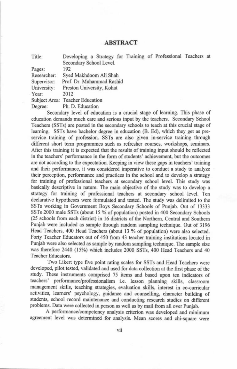### **ABSTRACT**

| Title:      | Developing a Strategy for Training of Professional Teachers at |  |  |
|-------------|----------------------------------------------------------------|--|--|
|             | Secondary School Level.                                        |  |  |
| Pages:      | 192                                                            |  |  |
| Researcher: | Syed Makhdoom Ali Shah                                         |  |  |
| Supervisor: | Prof. Dr. Muhammad Rashid                                      |  |  |
| University: | Preston University, Kohat                                      |  |  |
| Year:       | 2012                                                           |  |  |
|             | Subject Area: Teacher Education                                |  |  |
| Degree:     | Ph. D. Education                                               |  |  |

Secondary level of education is a crucial stage of learning. This phase of education demands much care and serious input by the teachers. Secondary School Teachers (SSTs) are posted in the secondary schools to teach at this crucial stage of learning. SSTs have bachelor degree in education (B. Ed), which they get as preservice training of profession. SSTs are also given in-service training through different short term programmes such as refresher courses, workshops, seminars. After this training it is expected that the results of training input should be reflected in the teachers' performance in the form of students' achievement, but the outcomes are not according to the expectation. Keeping in view these gaps in teachers' training and their performance, it was considered imperative to conduct a study to analyze their perception, performance and practices in the school and to develop a strategy for training of professional teachers at secondary school level. This study was basically descriptive in nature. The main objective of the study was to develop a strategy for training of professional teachers at secondary school level. Ten declarative hypotheses were formulated and tested. The study was delimited to the SSTs working in Government Boys Secondary Schools of Punjab. Out of 13333 SSTs 2000 male SSTs (about 15 % of population) posted in 400 Secondary Schools (25 schools from each district) in 16 districts of the Northern, Central and Southern Punjab were included as sample through random sampling technique. Out of 3196 Head Teachers, 400 Head Teachers (about 13 % of population) were also selected. Forty Teacher Educators out of 450 from 43 teacher training institutions located in Punjab were also selected as sample by random sampling technique. The sample size was therefore 2440 (15%) which includes 2000 SSTs, 400 Head Teachers and 40 Teacher Educators.

Two Likert type five point rating scales for SSTs and Head Teachers were developed, pilot tested, validated and used for data collection at the first phase of the study. These instruments comprised 75 items and based upon ten indicators of teachers' performance/professionalism i.e. lesson planning skills, classroom management skills, teaching strategies, evaluation skills, interest in co-curricular activities, learners' psychology, guidance and counselling, character building of students, school record maintenance and conducting research studies on different problems. Data were collected in person as well as by mail from all over Punjab.

A performance/competency analysis criterion was developed and minimum agreement level was determined for analysis. Mean scores and chi-square were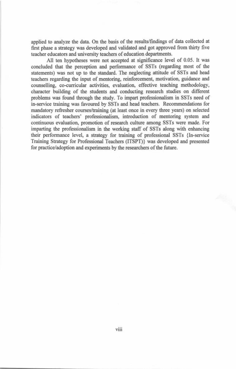applied to analyze the data. On the basis of the results/findings of data collected at first phase a strategy was developed and validated and got approved from thirty five teacher educators and university teachers of education departments.

All ten hypotheses were not accepted at significance level of 0.05. It was concluded that the perception and performance of SSTs (regarding most of the statements) was not up to the standard. The neglecting attitude of SSTs and head teachers regarding the input of mentoring, reinforcement, motivation, guidance and counselling, co-curricular activities, evaluation, effective teaching methodology, character building of the students and conducting research studies on different problems was found through the study. To impart professionalism in SSTs need of in-service training was favoured by SSTs and head teachers. Recommendations for mandatory refresher courses/training (at least once in every three years) on selected indicators of teachers' professionalism, introduction of mentoring system and continuous evaluation, promotion of research culture among SSTs were made. For imparting the professionalism in the working staff of SSTs along with enhancing their performance level, a strategy for training of professional SSTs {In-service Training Strategy for Professional Teachers (ITSPT)} was developed and presented for practice/adoption and experiments by the researchers of the future.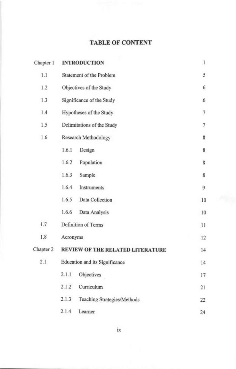## **TABLE OF CONTENT**

| Chapter 1 |          | <b>INTRODUCTION</b>                   | 1  |  |
|-----------|----------|---------------------------------------|----|--|
| 1.1       |          | Statement of the Problem              | 5  |  |
| 1.2       |          | Objectives of the Study               | 6  |  |
| 1.3       |          | Significance of the Study             |    |  |
| 1.4       |          | Hypotheses of the Study               |    |  |
| 1.5       |          | Delimitations of the Study            |    |  |
| 1.6       |          | Research Methodology                  | 8  |  |
|           | 1.6.1    | Design                                | 8  |  |
|           | 1.6.2    | Population                            | 8  |  |
|           | 1.6.3    | Sample                                | 8  |  |
|           | 1.6.4    | Instruments                           | 9  |  |
|           | 1.6.5    | Data Collection                       | 10 |  |
|           | 1.6.6    | Data Analysis                         | 10 |  |
| 1.7       |          | Definition of Terms                   | 11 |  |
| 1.8       | Acronyms |                                       | 12 |  |
| Chapter 2 |          | REVIEW OF THE RELATED LITERATURE      | 14 |  |
| 2.1       |          | <b>Education and its Significance</b> | 14 |  |
|           | 2.1.1    | Objectives                            | 17 |  |
|           | 2.1.2    | Curriculum                            | 21 |  |
|           | 2.1.3    | Teaching Strategies/Methods           | 22 |  |
|           | 2.1.4    | Learner                               | 24 |  |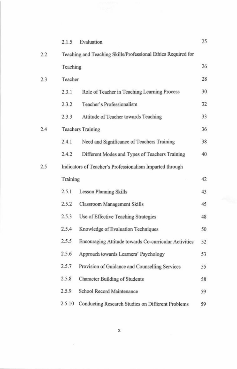|     | 2.1.5    | Evaluation                                                    | 25 |
|-----|----------|---------------------------------------------------------------|----|
| 2.2 |          | Teaching and Teaching Skills/Professional Ethics Required for |    |
|     | Teaching |                                                               | 26 |
| 2.3 | Teacher  |                                                               | 28 |
|     | 2.3.1    | Role of Teacher in Teaching Learning Process                  | 30 |
|     | 2.3.2    | Teacher's Professionalism                                     | 32 |
|     | 2.3.3    | Attitude of Teacher towards Teaching                          | 33 |
| 2.4 |          | <b>Teachers Training</b>                                      | 36 |
|     | 2.4.1    | Need and Significance of Teachers Training                    | 38 |
|     | 2.4.2    | Different Modes and Types of Teachers Training                | 40 |
| 2.5 |          | Indicators of Teacher's Professionalism Imparted through      |    |
|     | Training |                                                               | 42 |
|     | 2.5.1    | <b>Lesson Planning Skills</b>                                 | 43 |
|     | 2.5.2    | Classroom Management Skills                                   | 45 |
|     | 2.5.3    | Use of Effective Teaching Strategies                          | 48 |
|     | 2.5.4    | Knowledge of Evaluation Techniques                            | 50 |
|     | 2.5.5    | Encouraging Attitude towards Co-curricular Activities         | 52 |
|     | 2.5.6    | Approach towards Learners' Psychology                         | 53 |
|     | 2.5.7    | Provision of Guidance and Counselling Services                | 55 |
|     | 2.5.8    | <b>Character Building of Students</b>                         | 58 |
|     | 2.5.9    | School Record Maintenance                                     | 59 |
|     | 2.5.10   | Conducting Research Studies on Different Problems             | 59 |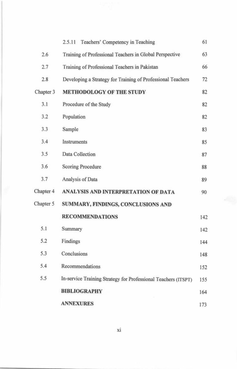|           | Teachers' Competency in Teaching<br>2.5.11                     | 61  |  |
|-----------|----------------------------------------------------------------|-----|--|
| 2.6       | Training of Professional Teachers in Global Perspective        | 63  |  |
| 2.7       | Training of Professional Teachers in Pakistan                  |     |  |
| 2.8       | Developing a Strategy for Training of Professional Teachers    | 72  |  |
| Chapter 3 | <b>METHODOLOGY OF THE STUDY</b>                                | 82  |  |
| 3.1       | Procedure of the Study                                         | 82  |  |
| 3.2       | Population                                                     |     |  |
| 3.3       | Sample                                                         | 83  |  |
| 3.4       | Instruments                                                    | 85  |  |
| 3.5       | Data Collection                                                | 87  |  |
| 3.6       | Scoring Procedure                                              | 88  |  |
| 3.7       | Analysis of Data                                               | 89  |  |
| Chapter 4 | ANALYSIS AND INTERPRETATION OF DATA                            | 90  |  |
| Chapter 5 | SUMMARY, FINDINGS, CONCLUSIONS AND                             |     |  |
|           | <b>RECOMMENDATIONS</b>                                         | 142 |  |
| 5.1       | Summary                                                        | 142 |  |
| 5.2       | Findings                                                       | 144 |  |
| 5.3       | Conclusions                                                    | 148 |  |
| 5.4       | Recommendations                                                | 152 |  |
| 5.5       | In-service Training Strategy for Professional Teachers (ITSPT) | 155 |  |
|           | <b>BIBLIOGRAPHY</b>                                            | 164 |  |
|           | <b>ANNEXURES</b>                                               | 173 |  |